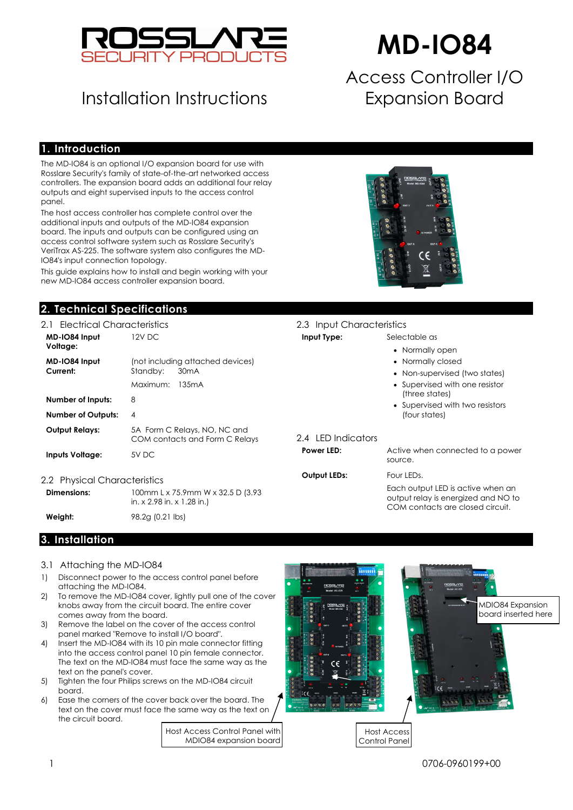

## Installation Instructions

# **MD-IO84**

## Access Controller I/O Expansion Board

### **1. Introduction**

The MD-IO84 is an optional I/O expansion board for use with Rosslare Security's family of state-of-the-art networked access controllers. The expansion board adds an additional four relay outputs and eight supervised inputs to the access control panel.

The host access controller has complete control over the additional inputs and outputs of the MD-IO84 expansion board. The inputs and outputs can be configured using an access control software system such as Rosslare Security's VeriTrax AS-225. The software system also configures the MD-IO84's input connection topology.

This guide explains how to install and begin working with your new MD-IO84 access controller expansion board.

### **2. Technical Specifications**

| 2.1 Electrical Characteristics                                                   |                                                                                        | 2.3 Input Characteristics |                                                 |
|----------------------------------------------------------------------------------|----------------------------------------------------------------------------------------|---------------------------|-------------------------------------------------|
| MD-IO84 Input<br>Voltage:                                                        | 12V DC                                                                                 | Input Type:               | Selectable as<br>• Normally                     |
| MD-IO84 Input<br>Current:                                                        | (not including attached devices)<br>Standby:<br>30 <sub>m</sub> A<br>Maximum:<br>135mA |                           | • Normally<br>$\bullet$ Non-supe<br>• Supervise |
| Number of Inputs:<br><b>Number of Outputs:</b>                                   | 8<br>4                                                                                 |                           | (three sta<br>• Supervise<br>(four state        |
| <b>Output Relays:</b>                                                            | 5A Form C Relays, NO, NC and<br>COM contacts and Form C Relays                         | 2.4 LED Indicators        |                                                 |
| <b>Inputs Voltage:</b>                                                           | 5V DC                                                                                  | Power LED:                | Active when<br>source.                          |
| 2.2 Physical Characteristics<br>Dimensions:<br>100mm L x 75.9mm W x 32.5 D (3.93 |                                                                                        | <b>Output LEDs:</b>       | Four LEDs.<br>Each output I                     |

in. x 2.98 in. x 1.28 in.) **Weight: 98.2g (0.21 lbs)** 



| <b></b>             |                                                                                                                  |
|---------------------|------------------------------------------------------------------------------------------------------------------|
|                     | • Normally open                                                                                                  |
|                     | • Normally closed                                                                                                |
|                     | • Non-supervised (two states)                                                                                    |
|                     | • Supervised with one resistor<br>(three states)                                                                 |
|                     | • Supervised with two resistors<br>(four states)                                                                 |
| 2.4 LED Indicators  |                                                                                                                  |
| Power LED:          | Active when connected to a power<br>source.                                                                      |
| <b>Output LEDs:</b> | Four LEDs.                                                                                                       |
|                     | Facebook and the collection of the state of the state of the state of the state of the state of the state of the |

Each output LED is active when an output relay is energized and NO to COM contacts are closed circuit.

### **3. Installation**

- 3.1 Attaching the MD-IO84
- 1) Disconnect power to the access control panel before attaching the MD-IO84.
- 2) To remove the MD-IO84 cover, lightly pull one of the cover knobs away from the circuit board. The entire cover comes away from the board.
- 3) Remove the label on the cover of the access control panel marked "Remove to install I/O board".
- 4) Insert the MD-IO84 with its 10 pin male connector fitting into the access control panel 10 pin female connector. The text on the MD-IO84 must face the same way as the text on the panel's cover.
- 5) Tighten the four Philips screws on the MD-IO84 circuit board.
- 6) Ease the corners of the cover back over the board. The text on the cover must face the same way as the text on the circuit board.

Host Access Control Panel with MDIO84 expansion board





Host Access Control Panel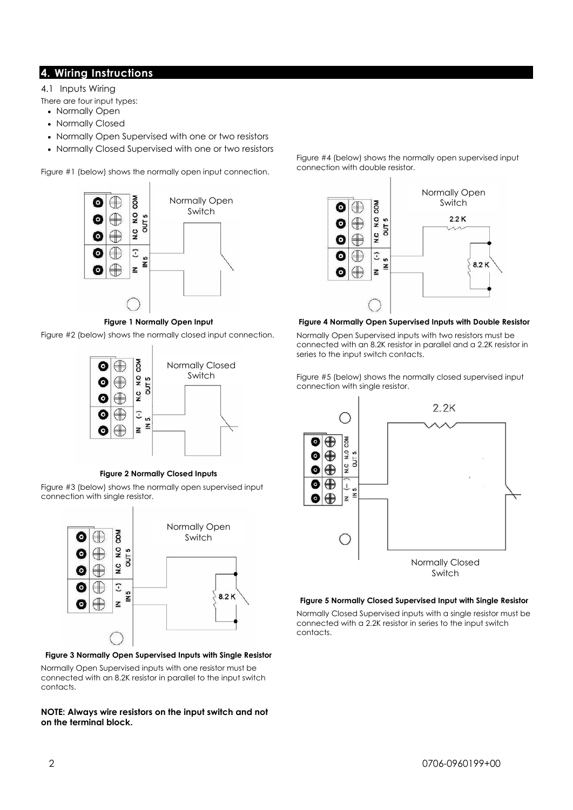### **4. Wiring Instructions**

4.1 Inputs Wiring

There are four input types:

- Normally Open
- Normally Closed
- Normally Open Supervised with one or two resistors
- Normally Closed Supervised with one or two resistors

Figure #1 (below) shows the normally open input connection.



### **Figure 1 Normally Open Input**

Figure #2 (below) shows the normally closed input connection.



### **Figure 2 Normally Closed Inputs**

Figure #3 (below) shows the normally open supervised input connection with single resistor.



### **Figure 3 Normally Open Supervised Inputs with Single Resistor**

Normally Open Supervised inputs with one resistor must be connected with an 8.2K resistor in parallel to the input switch contacts.

### **NOTE: Always wire resistors on the input switch and not on the terminal block.**

Figure #4 (below) shows the normally open supervised input connection with double resistor.



### **Figure 4 Normally Open Supervised Inputs with Double Resistor**

Normally Open Supervised inputs with two resistors must be connected with an 8.2K resistor in parallel and a 2.2K resistor in series to the input switch contacts.

Figure #5 (below) shows the normally closed supervised input connection with single resistor.



### **Figure 5 Normally Closed Supervised Input with Single Resistor**

Normally Closed Supervised inputs with a single resistor must be connected with a 2.2K resistor in series to the input switch contacts.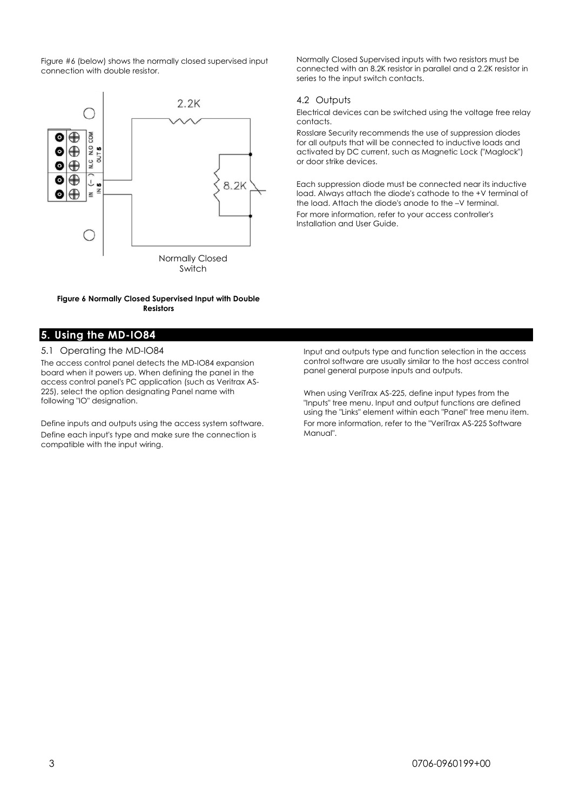Figure #6 (below) shows the normally closed supervised input connection with double resistor.



#### **Figure 6 Normally Closed Supervised Input with Double Resistors**

## **5. Using the MD-IO84**

### 5.1 Operating the MD-IO84

The access control panel detects the MD-IO84 expansion board when it powers up. When defining the panel in the access control panel's PC application (such as Veritrax AS-225), select the option designating Panel name with following "IO" designation.

Define inputs and outputs using the access system software. Define each input's type and make sure the connection is compatible with the input wiring.

Normally Closed Supervised inputs with two resistors must be connected with an 8.2K resistor in parallel and a 2.2K resistor in series to the input switch contacts.

### 4.2 Outputs

Electrical devices can be switched using the voltage free relay contacts.

Rosslare Security recommends the use of suppression diodes for all outputs that will be connected to inductive loads and activated by DC current, such as Magnetic Lock ("Maglock") or door strike devices.

Each suppression diode must be connected near its inductive load. Always attach the diode's cathode to the +V terminal of the load. Attach the diode's anode to the –V terminal. For more information, refer to your access controller's Installation and User Guide.

Input and outputs type and function selection in the access control software are usually similar to the host access control panel general purpose inputs and outputs.

When using VeriTrax AS-225, define input types from the "Inputs" tree menu. Input and output functions are defined using the "Links" element within each "Panel" tree menu item. For more information, refer to the "VeriTrax AS-225 Software Manual".